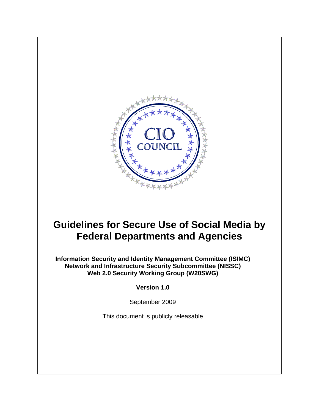

# **Guidelines for Secure Use of Social Media by Federal Departments and Agencies**

**Information Security and Identity Management Committee (ISIMC) Network and Infrastructure Security Subcommittee (NISSC) Web 2.0 Security Working Group (W20SWG)** 

**Version 1.0** 

September 2009

This document is publicly releasable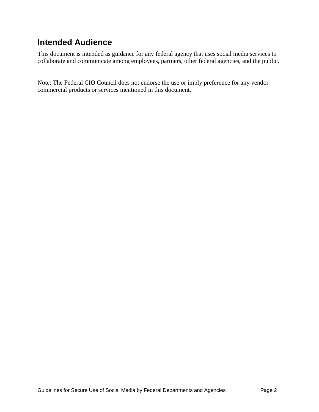## **Intended Audience**

This document is intended as guidance for any federal agency that uses social media services to collaborate and communicate among employees, partners, other federal agencies, and the public.

Note: The Federal CIO Council does not endorse the use or imply preference for any vendor commercial products or services mentioned in this document.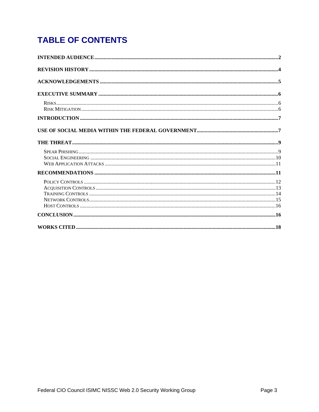# **TABLE OF CONTENTS**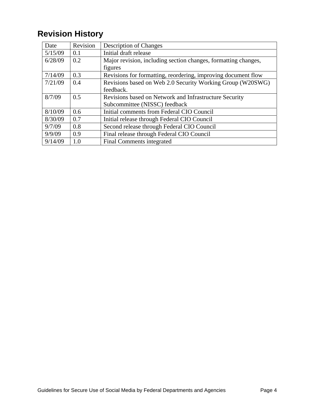# **Revision History**

| Date    | Revision | <b>Description of Changes</b>                                  |  |
|---------|----------|----------------------------------------------------------------|--|
| 5/15/09 | 0.1      | Initial draft release                                          |  |
| 6/28/09 | 0.2      | Major revision, including section changes, formatting changes, |  |
|         |          | figures                                                        |  |
| 7/14/09 | 0.3      | Revisions for formatting, reordering, improving document flow  |  |
| 7/21/09 | 0.4      | Revisions based on Web 2.0 Security Working Group (W20SWG)     |  |
|         |          | feedback.                                                      |  |
| 8/7/09  | 0.5      | Revisions based on Network and Infrastructure Security         |  |
|         |          | Subcommittee (NISSC) feedback                                  |  |
| 8/10/09 | 0.6      | Initial comments from Federal CIO Council                      |  |
| 8/30/09 | 0.7      | Initial release through Federal CIO Council                    |  |
| 9/7/09  | 0.8      | Second release through Federal CIO Council                     |  |
| 9/9/09  | 0.9      | Final release through Federal CIO Council                      |  |
| 9/14/09 | 1.0      | Final Comments integrated                                      |  |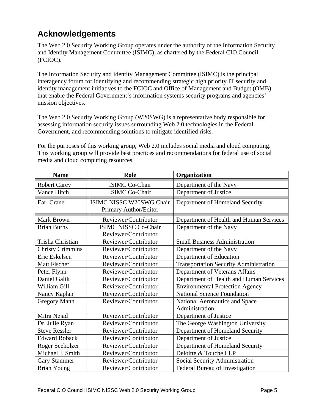# **Acknowledgements**

The Web 2.0 Security Working Group operates under the authority of the Information Security and Identity Management Committee (ISIMC), as chartered by the Federal CIO Council (FCIOC).

The Information Security and Identity Management Committee (ISIMC) is the principal interagency forum for identifying and recommending strategic high priority IT security and identity management initiatives to the FCIOC and Office of Management and Budget (OMB) that enable the Federal Government's information systems security programs and agencies' mission objectives.

The Web 2.0 Security Working Group (W20SWG) is a representative body responsible for assessing information security issues surrounding Web 2.0 technologies in the Federal Government, and recommending solutions to mitigate identified risks.

For the purposes of this working group, Web 2.0 includes social media and cloud computing. This working group will provide best practices and recommendations for federal use of social media and cloud computing resources.

| <b>Name</b>             | <b>Role</b>                 | Organization                                  |  |
|-------------------------|-----------------------------|-----------------------------------------------|--|
| <b>Robert Carey</b>     | <b>ISIMC Co-Chair</b>       | Department of the Navy                        |  |
| Vance Hitch             | <b>ISIMC Co-Chair</b>       | Department of Justice                         |  |
| Earl Crane              | ISIMC NISSC W20SWG Chair    | Department of Homeland Security               |  |
|                         | Primary Author/Editor       |                                               |  |
| <b>Mark Brown</b>       | Reviewer/Contributor        | Department of Health and Human Services       |  |
| <b>Brian Burns</b>      | <b>ISIMC NISSC Co-Chair</b> | Department of the Navy                        |  |
|                         | Reviewer/Contributor        |                                               |  |
| Trisha Christian        | Reviewer/Contributor        | <b>Small Business Administration</b>          |  |
| <b>Christy Crimmins</b> | Reviewer/Contributor        | Department of the Navy                        |  |
| Eric Eskelsen           | Reviewer/Contributor        | Department of Education                       |  |
| <b>Matt Fischer</b>     | Reviewer/Contributor        | <b>Transportation Security Administration</b> |  |
| Peter Flynn             | Reviewer/Contributor        | Department of Veterans Affairs                |  |
| Daniel Galik            | Reviewer/Contributor        | Department of Health and Human Services       |  |
| William Gill            | Reviewer/Contributor        | <b>Environmental Protection Agency</b>        |  |
| Nancy Kaplan            | Reviewer/Contributor        | <b>National Science Foundation</b>            |  |
| <b>Gregory Mann</b>     | Reviewer/Contributor        | National Aeronautics and Space                |  |
|                         |                             | Administration                                |  |
| Mitra Nejad             | Reviewer/Contributor        | Department of Justice                         |  |
| Dr. Julie Ryan          | Reviewer/Contributor        | The George Washington University              |  |
| <b>Steve Ressler</b>    | Reviewer/Contributor        | Department of Homeland Security               |  |
| <b>Edward Roback</b>    | Reviewer/Contributor        | Department of Justice                         |  |
| Roger Seeholzer         | Reviewer/Contributor        | Department of Homeland Security               |  |
| Michael J. Smith        | Reviewer/Contributor        | Deloitte & Touche LLP                         |  |
| <b>Gary Stammer</b>     | Reviewer/Contributor        | Social Security Administration                |  |
| <b>Brian Young</b>      | Reviewer/Contributor        | Federal Bureau of Investigation               |  |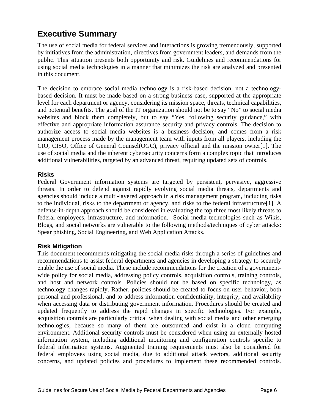## **Executive Summary**

The use of social media for federal services and interactions is growing tremendously, supported by initiatives from the administration, directives from government leaders, and demands from the public. This situation presents both opportunity and risk. Guidelines and recommendations for using social media technologies in a manner that minimizes the risk are analyzed and presented in this document.

The decision to embrace social media technology is a risk-based decision, not a technologybased decision. It must be made based on a strong business case, supported at the appropriate level for each department or agency, considering its mission space, threats, technical capabilities, and potential benefits. The goal of the IT organization should not be to say "No" to social media websites and block them completely, but to say "Yes, following security guidance," with effective and appropriate information assurance security and privacy controls. The decision to authorize access to social media websites is a business decision, and comes from a risk management process made by the management team with inputs from all players, including the CIO, CISO, Office of General Counsel(OGC), privacy official and the mission owner[1]. The use of social media and the inherent cybersecurity concerns form a complex topic that introduces additional vulnerabilities, targeted by an advanced threat, requiring updated sets of controls.

#### **Risks**

Federal Government information systems are targeted by persistent, pervasive, aggressive threats. In order to defend against rapidly evolving social media threats, departments and agencies should include a multi-layered approach in a risk management program, including risks to the individual, risks to the department or agency, and risks to the federal infrastructure[1]. A defense-in-depth approach should be considered in evaluating the top three most likely threats to federal employees, infrastructure, and information. Social media technologies such as Wikis, Blogs, and social networks are vulnerable to the following methods/techniques of cyber attacks: Spear phishing, Social Engineering, and Web Application Attacks.

#### **Risk Mitigation**

This document recommends mitigating the social media risks through a series of guidelines and recommendations to assist federal departments and agencies in developing a strategy to securely enable the use of social media. These include recommendations for the creation of a governmentwide policy for social media, addressing policy controls, acquisition controls, training controls, and host and network controls. Policies should not be based on specific technology, as technology changes rapidly. Rather, policies should be created to focus on user behavior, both personal and professional, and to address information confidentiality, integrity, and availability when accessing data or distributing government information. Procedures should be created and updated frequently to address the rapid changes in specific technologies. For example, acquisition controls are particularly critical when dealing with social media and other emerging technologies, because so many of them are outsourced and exist in a cloud computing environment. Additional security controls must be considered when using an externally hosted information system, including additional monitoring and configuration controls specific to federal information systems. Augmented training requirements must also be considered for federal employees using social media, due to additional attack vectors, additional security concerns, and updated policies and procedures to implement these recommended controls.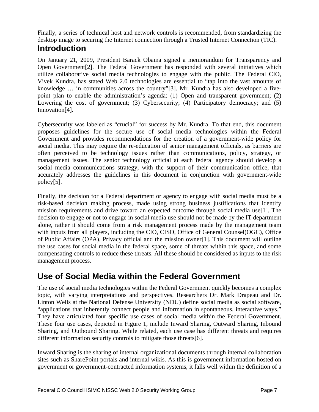Finally, a series of technical host and network controls is recommended, from standardizing the desktop image to securing the Internet connection through a Trusted Internet Connection (TIC).

### **Introduction**

On January 21, 2009, President Barack Obama signed a memorandum for Transparency and Open Government[2]. The Federal Government has responded with several initiatives which utilize collaborative social media technologies to engage with the public. The Federal CIO, Vivek Kundra, has stated Web 2.0 technologies are essential to "tap into the vast amounts of knowledge … in communities across the country"[3]. Mr. Kundra has also developed a fivepoint plan to enable the administration's agenda: (1) Open and transparent government; (2) Lowering the cost of government; (3) Cybersecurity; (4) Participatory democracy; and (5) Innovation[4].

Cybersecurity was labeled as "crucial" for success by Mr. Kundra. To that end, this document proposes guidelines for the secure use of social media technologies within the Federal Government and provides recommendations for the creation of a government-wide policy for social media. This may require the re-education of senior management officials, as barriers are often perceived to be technology issues rather than communications, policy, strategy, or management issues. The senior technology official at each federal agency should develop a social media communications strategy, with the support of their communication office, that accurately addresses the guidelines in this document in conjunction with government-wide policy[5].

Finally, the decision for a Federal department or agency to engage with social media must be a risk-based decision making process, made using strong business justifications that identify mission requirements and drive toward an expected outcome through social media use[1]. The decision to engage or not to engage in social media use should not be made by the IT department alone, rather it should come from a risk management process made by the management team with inputs from all players, including the CIO, CISO, Office of General Counsel(OGC), Office of Public Affairs (OPA), Privacy official and the mission owner[1]. This document will outline the use cases for social media in the federal space, some of threats within this space, and some compensating controls to reduce these threats. All these should be considered as inputs to the risk management process.

### **Use of Social Media within the Federal Government**

The use of social media technologies within the Federal Government quickly becomes a complex topic, with varying interpretations and perspectives. Researchers Dr. Mark Drapeau and Dr. Linton Wells at the National Defense University (NDU) define social media as social software, "applications that inherently connect people and information in spontaneous, interactive ways." They have articulated four specific use cases of social media within the Federal Government. These four use cases, depicted in Figure 1, include Inward Sharing, Outward Sharing, Inbound Sharing, and Outbound Sharing. While related, each use case has different threats and requires different information security controls to mitigate those threats[6].

Inward Sharing is the sharing of internal organizational documents through internal collaboration sites such as SharePoint portals and internal wikis. As this is government information hosted on government or government-contracted information systems, it falls well within the definition of a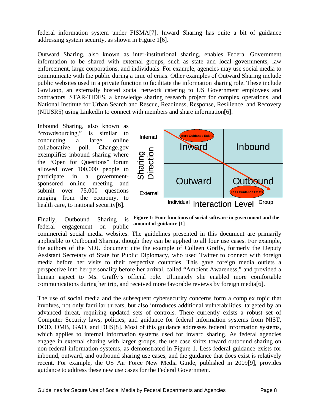federal information system under FISMA[7]. Inward Sharing has quite a bit of guidance addressing system security, as shown in Figure 1[6].

Outward Sharing, also known as inter-institutional sharing, enables Federal Government information to be shared with external groups, such as state and local governments, law enforcement, large corporations, and individuals. For example, agencies may use social media to communicate with the public during a time of crisis. Other examples of Outward Sharing include public websites used in a private function to facilitate the information sharing role. These include GovLoop, an externally hosted social network catering to US Government employees and contractors, STAR-TIDES, a knowledge sharing research project for complex operations, and National Institute for Urban Search and Rescue, Readiness, Response, Resilience, and Recovery (NIUSR5) using LinkedIn to connect with members and share information[6].

Inbound Sharing, also known as "crowdsourcing," is similar to conducting a large online collaborative poll. Change.gov exemplifies inbound sharing where the "Open for Questions" forum allowed over 100,000 people to participate in a governmentsponsored online meeting and submit over 75,000 questions ranging from the economy, to health care, to national security[6].



Finally, Outbound Sharing is **Figure 1: Four functions of social software in government and the** federal engagement on public amount of guidance [1]

commercial social media websites. The guidelines presented in this document are primarily applicable to Outbound Sharing, though they can be applied to all four use cases. For example, the authors of the NDU document cite the example of Colleen Graffy, formerly the Deputy Assistant Secretary of State for Public Diplomacy, who used Twitter to connect with foreign media before her visits to their respective countries. This gave foreign media outlets a perspective into her personality before her arrival, called "Ambient Awareness," and provided a human aspect to Ms. Graffy's official role. Ultimately she enabled more comfortable communications during her trip, and received more favorable reviews by foreign media[6].

The use of social media and the subsequent cybersecurity concerns form a complex topic that involves, not only familiar threats, but also introduces additional vulnerabilities, targeted by an advanced threat, requiring updated sets of controls. There currently exists a robust set of Computer Security laws, policies, and guidance for federal information systems from NIST, DOD, OMB, GAO, and DHS[8]. Most of this guidance addresses federal information systems, which applies to internal information systems used for inward sharing. As federal agencies engage in external sharing with larger groups, the use case shifts toward outbound sharing on non-federal information systems, as demonstrated in Figure 1. Less federal guidance exists for inbound, outward, and outbound sharing use cases, and the guidance that does exist is relatively recent. For example, the US Air Force New Media Guide, published in 2009[9], provides guidance to address these new use cases for the Federal Government.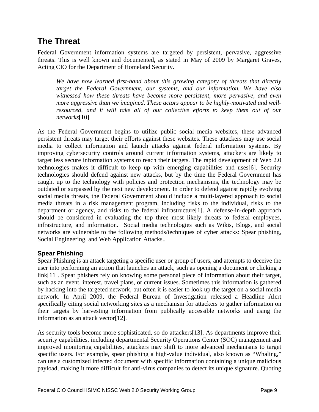### **The Threat**

Federal Government information systems are targeted by persistent, pervasive, aggressive threats. This is well known and documented, as stated in May of 2009 by Margaret Graves, Acting CIO for the Department of Homeland Security.

*We have now learned first-hand about this growing category of threats that directly target the Federal Government, our systems, and our information. We have also witnessed how these threats have become more persistent, more pervasive, and even more aggressive than we imagined. These actors appear to be highly-motivated and well*resourced, and it will take all of our collective efforts to keep them out of our *networks*[10].

As the Federal Government begins to utilize public social media websites, these advanced persistent threats may target their efforts against these websites. These attackers may use social media to collect information and launch attacks against federal information systems. By improving cybersecurity controls around current information systems, attackers are likely to target less secure information systems to reach their targets. The rapid development of Web 2.0 technologies makes it difficult to keep up with emerging capabilities and uses[6]. Security technologies should defend against new attacks, but by the time the Federal Government has caught up to the technology with policies and protection mechanisms, the technology may be outdated or surpassed by the next new development. In order to defend against rapidly evolving social media threats, the Federal Government should include a multi-layered approach to social media threats in a risk management program, including risks to the individual, risks to the department or agency, and risks to the federal infrastructure[1]. A defense-in-depth approach should be considered in evaluating the top three most likely threats to federal employees, infrastructure, and information. Social media technologies such as Wikis, Blogs, and social networks are vulnerable to the following methods/techniques of cyber attacks: Spear phishing, Social Engineering, and Web Application Attacks..

#### **Spear Phishing**

Spear Phishing is an attack targeting a specific user or group of users, and attempts to deceive the user into performing an action that launches an attack, such as opening a document or clicking a link[11]. Spear phishers rely on knowing some personal piece of information about their target, such as an event, interest, travel plans, or current issues. Sometimes this information is gathered by hacking into the targeted network, but often it is easier to look up the target on a social media network. In April 2009, the Federal Bureau of Investigation released a Headline Alert specifically citing social networking sites as a mechanism for attackers to gather information on their targets by harvesting information from publically accessible networks and using the information as an attack vector[12].

As security tools become more sophisticated, so do attackers[13]. As departments improve their security capabilities, including departmental Security Operations Center (SOC) management and improved monitoring capabilities, attackers may shift to more advanced mechanisms to target specific users. For example, spear phishing a high-value individual, also known as "Whaling," can use a customized infected document with specific information containing a unique malicious payload, making it more difficult for anti-virus companies to detect its unique signature. Quoting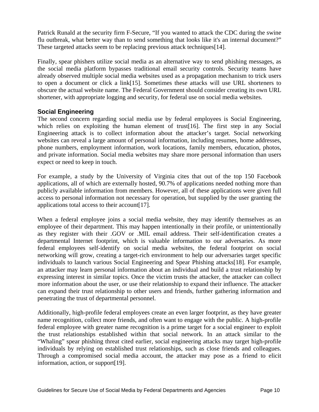Patrick Runald at the security firm F-Secure, "If you wanted to attack the CDC during the swine flu outbreak, what better way than to send something that looks like it's an internal document?" These targeted attacks seem to be replacing previous attack techniques[14].

Finally, spear phishers utilize social media as an alternative way to send phishing messages, as the social media platform bypasses traditional email security controls. Security teams have already observed multiple social media websites used as a propagation mechanism to trick users to open a document or click a link[15]. Sometimes these attacks will use URL shorteners to obscure the actual website name. The Federal Government should consider creating its own URL shortener, with appropriate logging and security, for federal use on social media websites.

#### **Social Engineering**

The second concern regarding social media use by federal employees is Social Engineering, which relies on exploiting the human element of trust [16]. The first step in any Social Engineering attack is to collect information about the attacker's target. Social networking websites can reveal a large amount of personal information, including resumes, home addresses, phone numbers, employment information, work locations, family members, education, photos, and private information. Social media websites may share more personal information than users expect or need to keep in touch.

For example, a study by the University of Virginia cites that out of the top 150 Facebook applications, all of which are externally hosted, 90.7% of applications needed nothing more than publicly available information from members. However, all of these applications were given full access to personal information not necessary for operation, but supplied by the user granting the applications total access to their account[17].

When a federal employee joins a social media website, they may identify themselves as an employee of their department. This may happen intentionally in their profile, or unintentionally as they register with their .GOV or .MIL email address. Their self-identification creates a departmental Internet footprint, which is valuable information to our adversaries. As more federal employees self-identify on social media websites, the federal footprint on social networking will grow, creating a target-rich environment to help our adversaries target specific individuals to launch various Social Engineering and Spear Phishing attacks[18]. For example, an attacker may learn personal information about an individual and build a trust relationship by expressing interest in similar topics. Once the victim trusts the attacker, the attacker can collect more information about the user, or use their relationship to expand their influence. The attacker can expand their trust relationship to other users and friends, further gathering information and penetrating the trust of departmental personnel.

Additionally, high-profile federal employees create an even larger footprint, as they have greater name recognition, collect more friends, and often want to engage with the public. A high-profile federal employee with greater name recognition is a prime target for a social engineer to exploit the trust relationships established within that social network. In an attack similar to the "Whaling" spear phishing threat cited earlier, social engineering attacks may target high-profile individuals by relying on established trust relationships, such as close friends and colleagues. Through a compromised social media account, the attacker may pose as a friend to elicit information, action, or support[19].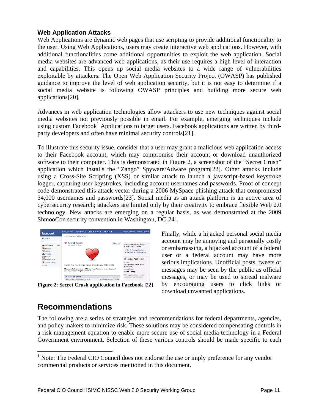#### **Web Application Attacks**

Web Applications are dynamic web pages that use scripting to provide additional functionality to the user. Using Web Applications, users may create interactive web applications. However, with additional functionalities come additional opportunities to exploit the web application. Social media websites are advanced web applications, as their use requires a high level of interaction and capabilities. This opens up social media websites to a wide range of vulnerabilities exploitable by attackers. The Open Web Application Security Project (OWASP) has published guidance to improve the level of web application security, but it is not easy to determine if a social media website is following OWASP principles and building more secure web applications[20].

Advances in web application technologies allow attackers to use new techniques against social media websites not previously possible in email. For example, emerging techniques include using custom Facebook<sup>1</sup> Applications to target users. Facebook applications are written by thirdparty developers and often have minimal security controls[21].

To illustrate this security issue, consider that a user may grant a malicious web application access to their Facebook account, which may compromise their account or download unauthorized software to their computer. This is demonstrated in Figure 2, a screenshot of the "Secret Crush" application which installs the "Zango" Spyware/Adware program[22]. Other attacks include using a Cross-Site Scripting (XSS) or similar attack to launch a javascript-based keystroke logger, capturing user keystrokes, including account usernames and passwords. Proof of concept code demonstrated this attack vector during a 2006 MySpace phishing attack that compromised 34,000 usernames and passwords[23]. Social media as an attack platform is an active area of cybersecurity research; attackers are limited only by their creativity to embrace flexible Web 2.0 technology. New attacks are emerging on a regular basis, as was demonstrated at the 2009 ShmooCon security convention in Washington, DC[24].

| facebook                                  | Profile edit<br>Friends v<br>Networks v<br>$lnbox \rightharpoondown$                                        | home account privacy logout                           |
|-------------------------------------------|-------------------------------------------------------------------------------------------------------------|-------------------------------------------------------|
|                                           | <b>4 Browse More Applications</b>                                                                           |                                                       |
| Search v<br>lo.                           |                                                                                                             |                                                       |
| <b>Applications</b><br>edit               | Secret Crush<br>Share +<br>by Secret Crush                                                                  | You already added Secret<br>Crush to your profile.    |
| Photos<br>Video                           |                                                                                                             | · Go to this Application<br>. Remove this Application |
| <b>12</b> Groups<br>Events<br><b>TEXT</b> |                                                                                                             |                                                       |
| <b>EET</b> Marketplace<br>Secret Crush    |                                                                                                             | <b>About this Application</b><br>Users:               |
| r more                                    | One Of Your Friends Might Have a Crush On You! And Out Who!                                                 | 50,708 daily active users<br>4% of total              |
|                                           | Please note that this is a PAID service. Please read the terms of<br>service before using this application. | Categories<br>Alerts, Dating                          |
|                                           | <b>Discussion Board</b>                                                                                     | This application was not<br>developed by Facebook.    |
|                                           | Displaying 3 discussion topics.<br>Start New Topic   See All                                                |                                                       |

**Figure 2: Secret Crush application in Facebook [22]** 

Finally, while a hijacked personal social media account may be annoying and personally costly or embarrassing, a hijacked account of a federal user or a federal account may have more serious implications. Unofficial posts, tweets or messages may be seen by the public as official messages, or may be used to spread malware by encouraging users to click links or download unwanted applications.

### **Recommendations**

 $\overline{a}$ 

The following are a series of strategies and recommendations for federal departments, agencies, and policy makers to minimize risk. These solutions may be considered compensating controls in a risk management equation to enable more secure use of social media technology in a Federal Government environment. Selection of these various controls should be made specific to each

<sup>&</sup>lt;sup>1</sup> Note: The Federal CIO Council does not endorse the use or imply preference for any vendor commercial products or services mentioned in this document.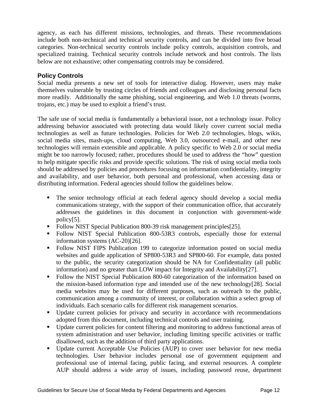agency, as each has different missions, technologies, and threats. These recommendations include both non-technical and technical security controls, and can be divided into five broad categories. Non-technical security controls include policy controls, acquisition controls, and specialized training. Technical security controls include network and host controls. The lists below are not exhaustive; other compensating controls may be considered.

#### **Policy Controls**

Social media presents a new set of tools for interactive dialog. However, users may make themselves vulnerable by trusting circles of friends and colleagues and disclosing personal facts more readily. Additionally the same phishing, social engineering, and Web 1.0 threats (worms, trojans, etc.) may be used to exploit a friend's trust.

The safe use of social media is fundamentally a behavioral issue, not a technology issue. Policy addressing behavior associated with protecting data would likely cover current social media technologies as well as future technologies. Policies for Web 2.0 technologies, blogs, wikis, social media sites, mash-ups, cloud computing, Web 3.0, outsourced e-mail, and other new technologies will remain extensible and applicable. A policy specific to Web 2.0 or social media might be too narrowly focused; rather, procedures should be used to address the "how" question to help mitigate specific risks and provide specific solutions. The risk of using social media tools should be addressed by policies and procedures focusing on information confidentiality, integrity and availability, and user behavior, both personal and professional, when accessing data or distributing information. Federal agencies should follow the guidelines below.

- The senior technology official at each federal agency should develop a social media communications strategy, with the support of their communication office, that accurately addresses the guidelines in this document in conjunction with government-wide policy[5].
- Follow NIST Special Publication 800-39 risk management principles [25].
- Follow NIST Special Publication 800-53R3 controls, especially those for external information systems (AC-20)[26].
- Follow NIST FIPS Publication 199 to categorize information posted on social media websites and guide application of SP800-53R3 and SP800-60. For example, data posted to the public, the security categorization should be NA for Confidentiality (all public information) and no greater than LOW impact for Integrity and Availability[27].
- Follow the NIST Special Publication 800-60 categorization of the information based on the mission-based information type and intended use of the new technology[28]. Social media websites may be used for different purposes, such as outreach to the public, communication among a community of interest, or collaboration within a select group of individuals. Each scenario calls for different risk management scenarios.
- Update current policies for privacy and security in accordance with recommendations adopted from this document, including technical controls and user training.
- Update current policies for content filtering and monitoring to address functional areas of system administration and user behavior, including limiting specific activities or traffic disallowed, such as the addition of third party applications.
- Update current Acceptable Use Policies (AUP) to cover user behavior for new media technologies. User behavior includes personal use of government equipment and professional use of internal facing, public facing, and external resources. A complete AUP should address a wide array of issues, including password reuse, department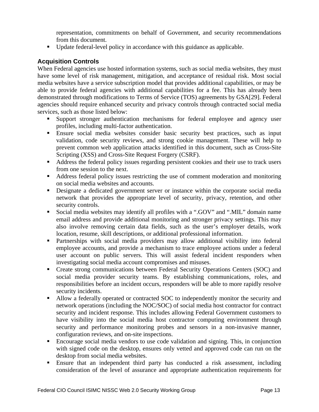representation, commitments on behalf of Government, and security recommendations from this document.

Update federal-level policy in accordance with this guidance as applicable.

#### **Acquisition Controls**

When Federal agencies use hosted information systems, such as social media websites, they must have some level of risk management, mitigation, and acceptance of residual risk. Most social media websites have a service subscription model that provides additional capabilities, or may be able to provide federal agencies with additional capabilities for a fee. This has already been demonstrated through modifications to Terms of Service (TOS) agreements by GSA[29]. Federal agencies should require enhanced security and privacy controls through contracted social media services, such as those listed below:

- Support stronger authentication mechanisms for federal employee and agency user profiles, including multi-factor authentication.
- Ensure social media websites consider basic security best practices, such as input validation, code security reviews, and strong cookie management. These will help to prevent common web application attacks identified in this document, such as Cross-Site Scripting (XSS) and Cross-Site Request Forgery (CSRF).
- Address the federal policy issues regarding persistent cookies and their use to track users from one session to the next.
- Address federal policy issues restricting the use of comment moderation and monitoring on social media websites and accounts.
- Designate a dedicated government server or instance within the corporate social media network that provides the appropriate level of security, privacy, retention, and other security controls.
- Social media websites may identify all profiles with a ".GOV" and ".MIL" domain name email address and provide additional monitoring and stronger privacy settings. This may also involve removing certain data fields, such as the user's employer details, work location, resume, skill descriptions, or additional professional information.
- Partnerships with social media providers may allow additional visibility into federal employee accounts, and provide a mechanism to trace employee actions under a federal user account on public servers. This will assist federal incident responders when investigating social media account compromises and misuses.
- Create strong communications between Federal Security Operations Centers (SOC) and social media provider security teams. By establishing communications, roles, and responsibilities before an incident occurs, responders will be able to more rapidly resolve security incidents.
- Allow a federally operated or contracted SOC to independently monitor the security and network operations (including the NOC/SOC) of social media host contractor for contract security and incident response. This includes allowing Federal Government customers to have visibility into the social media host contractor computing environment through security and performance monitoring probes and sensors in a non-invasive manner, configuration reviews, and on-site inspections.
- Encourage social media vendors to use code validation and signing. This, in conjunction with signed code on the desktop, ensures only vetted and approved code can run on the desktop from social media websites.
- Ensure that an independent third party has conducted a risk assessment, including consideration of the level of assurance and appropriate authentication requirements for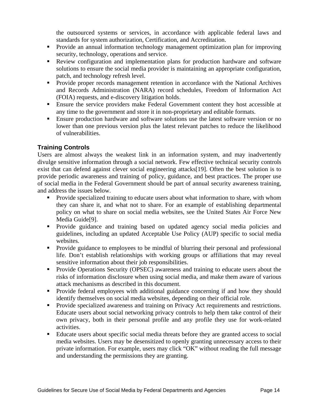the outsourced systems or services, in accordance with applicable federal laws and standards for system authorization, Certification, and Accreditation.

- Provide an annual information technology management optimization plan for improving security, technology, operations and service.
- Review configuration and implementation plans for production hardware and software solutions to ensure the social media provider is maintaining an appropriate configuration, patch, and technology refresh level.
- **Provide proper records management retention in accordance with the National Archives** and Records Administration (NARA) record schedules, Freedom of Information Act (FOIA) requests, and e-discovery litigation holds.
- Ensure the service providers make Federal Government content they host accessible at any time to the government and store it in non-proprietary and editable formats.
- **Ensure production hardware and software solutions use the latest software version or no** lower than one previous version plus the latest relevant patches to reduce the likelihood of vulnerabilities.

#### **Training Controls**

Users are almost always the weakest link in an information system, and may inadvertently divulge sensitive information through a social network. Few effective technical security controls exist that can defend against clever social engineering attacks[19]. Often the best solution is to provide periodic awareness and training of policy, guidance, and best practices. The proper use of social media in the Federal Government should be part of annual security awareness training, and address the issues below.

- **Provide specialized training to educate users about what information to share, with whom** they can share it, and what not to share. For an example of establishing departmental policy on what to share on social media websites, see the United States Air Force New Media Guide[9].
- Provide guidance and training based on updated agency social media policies and guidelines, including an updated Acceptable Use Policy (AUP) specific to social media websites.
- Provide guidance to employees to be mindful of blurring their personal and professional life. Don't establish relationships with working groups or affiliations that may reveal sensitive information about their job responsibilities.
- **Provide Operations Security (OPSEC) awareness and training to educate users about the** risks of information disclosure when using social media, and make them aware of various attack mechanisms as described in this document.
- Provide federal employees with additional guidance concerning if and how they should identify themselves on social media websites, depending on their official role.
- **Provide specialized awareness and training on Privacy Act requirements and restrictions.** Educate users about social networking privacy controls to help them take control of their own privacy, both in their personal profile and any profile they use for work-related activities.
- Educate users about specific social media threats before they are granted access to social media websites. Users may be desensitized to openly granting unnecessary access to their private information. For example, users may click "OK" without reading the full message and understanding the permissions they are granting.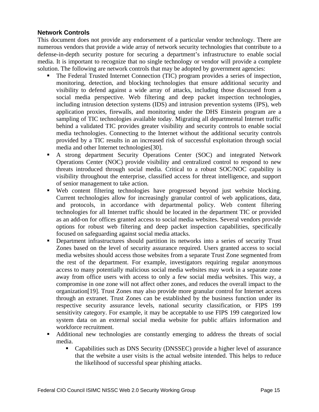#### **Network Controls**

This document does not provide any endorsement of a particular vendor technology. There are numerous vendors that provide a wide array of network security technologies that contribute to a defense-in-depth security posture for securing a department's infrastructure to enable social media. It is important to recognize that no single technology or vendor will provide a complete solution. The following are network controls that may be adopted by government agencies:

- The Federal Trusted Internet Connection (TIC) program provides a series of inspection, monitoring, detection, and blocking technologies that ensure additional security and visibility to defend against a wide array of attacks, including those discussed from a social media perspective. Web filtering and deep packet inspection technologies, including intrusion detection systems (IDS) and intrusion prevention systems (IPS), web application proxies, firewalls, and monitoring under the DHS Einstein program are a sampling of TIC technologies available today. Migrating all departmental Internet traffic behind a validated TIC provides greater visibility and security controls to enable social media technologies. Connecting to the Internet without the additional security controls provided by a TIC results in an increased risk of successful exploitation through social media and other Internet technologies[30].
- A strong department Security Operations Center (SOC) and integrated Network Operations Center (NOC) provide visibility and centralized control to respond to new threats introduced through social media. Critical to a robust SOC/NOC capability is visibility throughout the enterprise, classified access for threat intelligence, and support of senior management to take action.
- Web content filtering technologies have progressed beyond just website blocking. Current technologies allow for increasingly granular control of web applications, data, and protocols, in accordance with departmental policy. Web content filtering technologies for all Internet traffic should be located in the department TIC or provided as an add-on for offices granted access to social media websites. Several vendors provide options for robust web filtering and deep packet inspection capabilities, specifically focused on safeguarding against social media attacks.
- **•** Department infrastructures should partition its networks into a series of security Trust Zones based on the level of security assurance required. Users granted access to social media websites should access those websites from a separate Trust Zone segmented from the rest of the department. For example, investigators requiring regular anonymous access to many potentially malicious social media websites may work in a separate zone away from office users with access to only a few social media websites. This way, a compromise in one zone will not affect other zones, and reduces the overall impact to the organization[19]. Trust Zones may also provide more granular control for Internet access through an extranet. Trust Zones can be established by the business function under its respective security assurance levels, national security classification, or FIPS 199 sensitivity category. For example, it may be acceptable to use FIPS 199 categorized low system data on an external social media website for public affairs information and workforce recruitment.
- Additional new technologies are constantly emerging to address the threats of social media.
	- Capabilities such as DNS Security (DNSSEC) provide a higher level of assurance that the website a user visits is the actual website intended. This helps to reduce the likelihood of successful spear phishing attacks.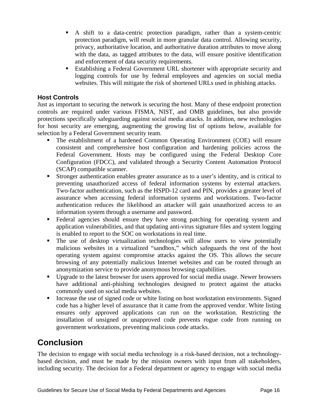- A shift to a data-centric protection paradigm, rather than a system-centric protection paradigm, will result in more granular data control. Allowing security, privacy, authoritative location, and authoritative duration attributes to move along with the data, as tagged attributes to the data, will ensure positive identification and enforcement of data security requirements.
- Establishing a Federal Government URL shortener with appropriate security and logging controls for use by federal employees and agencies on social media websites. This will mitigate the risk of shortened URLs used in phishing attacks.

#### **Host Controls**

Just as important to securing the network is securing the host. Many of these endpoint protection controls are required under various FISMA, NIST, and OMB guidelines, but also provide protections specifically safeguarding against social media attacks. In addition, new technologies for host security are emerging, augmenting the growing list of options below, available for selection by a Federal Government security team.

- The establishment of a hardened Common Operating Environment (COE) will ensure consistent and comprehensive host configuration and hardening policies across the Federal Government. Hosts may be configured using the Federal Desktop Core Configuration (FDCC), and validated through a Security Content Automation Protocol (SCAP) compatible scanner.
- Stronger authentication enables greater assurance as to a user's identity, and is critical to preventing unauthorized access of federal information systems by external attackers. Two-factor authentication, such as the HSPD-12 card and PIN, provides a greater level of assurance when accessing federal information systems and workstations. Two-factor authentication reduces the likelihood an attacker will gain unauthorized access to an information system through a username and password.
- Federal agencies should ensure they have strong patching for operating system and application vulnerabilities, and that updating anti-virus signature files and system logging is enabled to report to the SOC on workstations in real time.
- The use of desktop virtualization technologies will allow users to view potentially malicious websites in a virtualized "sandbox," which safeguards the rest of the host operating system against compromise attacks against the OS. This allows the secure browsing of any potentially malicious Internet websites and can be routed through an anonymization service to provide anonymous browsing capabilities.
- Upgrade to the latest browser for users approved for social media usage. Newer browsers have additional anti-phishing technologies designed to protect against the attacks commonly used on social media websites.
- Increase the use of signed code or white listing on host workstation environments. Signed code has a higher level of assurance that it came from the approved vendor. White listing ensures only approved applications can run on the workstation. Restricting the installation of unsigned or unapproved code prevents rogue code from running on government workstations, preventing malicious code attacks.

## **Conclusion**

The decision to engage with social media technology is a risk-based decision, not a technologybased decision, and must be made by the mission owners with input from all stakeholders, including security. The decision for a Federal department or agency to engage with social media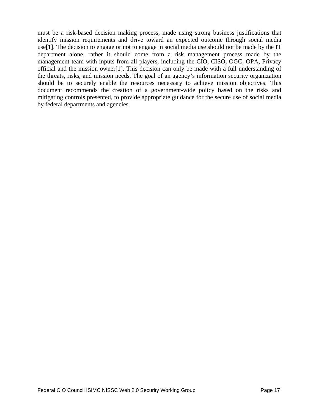must be a risk-based decision making process, made using strong business justifications that identify mission requirements and drive toward an expected outcome through social media use[1]. The decision to engage or not to engage in social media use should not be made by the IT department alone, rather it should come from a risk management process made by the management team with inputs from all players, including the CIO, CISO, OGC, OPA, Privacy official and the mission owner[1]. This decision can only be made with a full understanding of the threats, risks, and mission needs. The goal of an agency's information security organization should be to securely enable the resources necessary to achieve mission objectives. This document recommends the creation of a government-wide policy based on the risks and mitigating controls presented, to provide appropriate guidance for the secure use of social media by federal departments and agencies.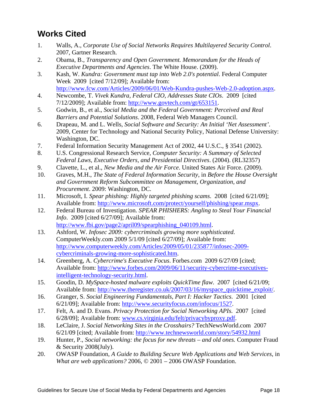## **Works Cited**

- 1. Walls, A., *Corporate Use of Social Networks Requires Multilayered Security Control*. 2007, Gartner Research.
- 2. Obama, B., *Transparency and Open Government. Memorandum for the Heads of Executive Departments and Agencies*. The White House. (2009).
- 3. Kash, W. *Kundra: Government must tap into Web 2.0's potential*. Federal Computer Week 2009 [cited 7/12/09]; Available from: http://www.fcw.com/Articles/2009/06/01/Web-Kundra-pushes-Web-2.0-adoption.aspx.
- 4. Newcombe, T. *Vivek Kundra, Federal CIO, Addresses State CIOs*. 2009 [cited 7/12/2009]; Available from: http://www.govtech.com/gt/653151.
- 5. Godwin, B., et al., *Social Media and the Federal Government: Perceived and Real Barriers and Potential Solutions*. 2008, Federal Web Managers Council.
- 6. Drapeau, M. and L. Wells, *Social Software and Security: An Initial 'Net Assessment'*. 2009, Center for Technology and National Security Policy, National Defense University: Washington, DC.
- 7. Federal Information Security Management Act of 2002, 44 U.S.C., § 3541 (2002).
- 8. U.S. Congressional Research Service, *Computer Security: A Summary of Selected Federal Laws, Executive Orders, and Presidential Directives*. (2004). (RL32357)
- 9. Clavette, L., et al., *New Media and the Air Force*. United States Air Force. (2009).
- 10. Graves, M.H., *The State of Federal Information Security*, in *Before the House Oversight and Government Reform Subcommittee on Management, Organization, and Procurement*. 2009: Washington, DC.
- 11. Microsoft, I. *Spear phishing: Highly targeted phishing scams*. 2008 [cited 6/21/09]; Available from: http://www.microsoft.com/protect/yourself/phishing/spear.mspx.
- 12. Federal Bureau of Investigation. *SPEAR PHISHERS: Angling to Steal Your Financial Info*. 2009 [cited 6/27/09]; Available from: http://www.fbi.gov/page2/april09/spearphishing\_040109.html.
- 13. Ashford, W. *Infosec 2009: cybercriminals growing more sophisticated*. ComputerWeekly.com 2009 5/1/09 [cited 6/27/09]; Available from: http://www.computerweekly.com/Articles/2009/05/01/235877/infosec-2009 cybercriminals-growing-more-sophisticated.htm.
- 14. Greenberg, A. *Cybercrime's Executive Focus*. Forbes.com 2009 6/27/09 [cited; Available from: http://www.forbes.com/2009/06/11/security-cybercrime-executivesintelligent-technology-security.html.
- 15. Goodin, D. *MySpace-hosted malware exploits QuickTime flaw*. 2007 [cited 6/21/09; Available from: http://www.theregister.co.uk/2007/03/16/myspace\_quicktime\_exploit/.
- 16. Granger, S. *Social Engineering Fundamentals, Part I: Hacker Tactics*. 2001 [cited 6/21/09]; Available from: http://www.securityfocus.com/infocus/1527.
- 17. Felt, A. and D. Evans. *Privacy Protection for Social Networking APIs*. 2007 [cited 6/28/09]; Available from: www.cs.virginia.edu/felt/privacybyproxy.pdf.
- 6/21/09 [cited; Available from: http://www.technewsworld.com/story/54932.html 18. LeClaire, J. *Social Networking Sites in the Crosshairs?* TechNewsWorld.com 2007
- 19. Hunter, P., *Social networking: the focus for new threats and old ones.* Computer Fraud & Security 2008(July).
- 20. OWASP Foundation, *A Guide to Building Secure Web Applications and Web Services*, in *What are web applications?* 2006, © 2001 – 2006 OWASP Foundation.